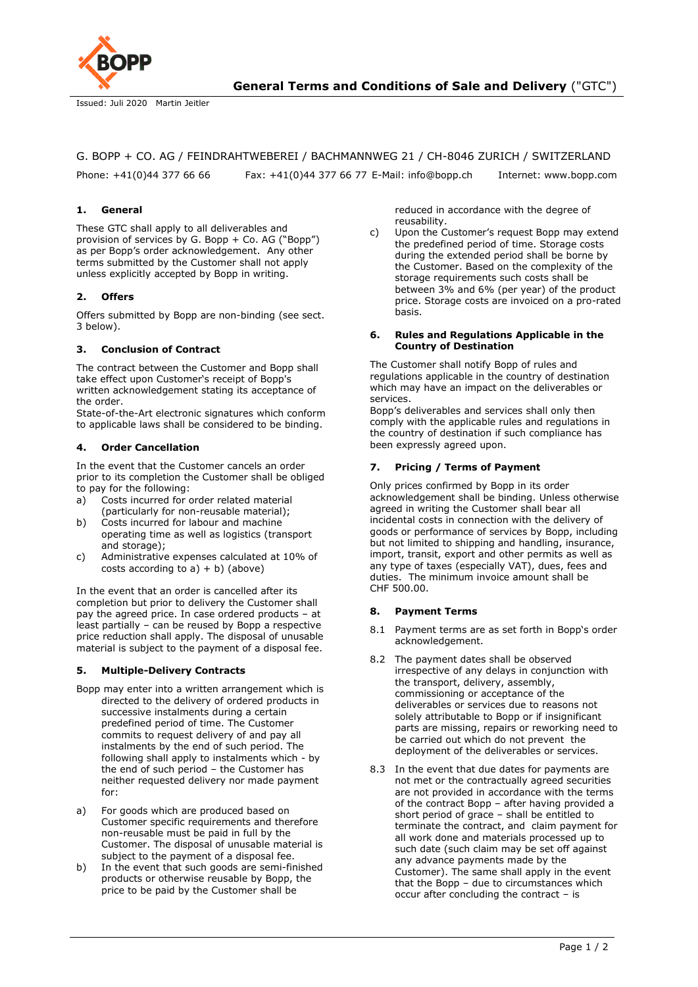

Issued: Juli 2020 Martin Jeitler

## G. BOPP + CO. AG / FEINDRAHTWEBEREI / BACHMANNWEG 21 / CH-8046 ZURICH / SWITZERLAND

Phone: +41(0)44 377 66 66 Fax: +41(0)44 377 66 77 E-Mail: info@bopp.ch Internet: www.bopp.com

### **1. General**

These GTC shall apply to all deliverables and provision of services by G. Bopp + Co. AG ("Bopp") as per Bopp's order acknowledgement. Any other terms submitted by the Customer shall not apply unless explicitly accepted by Bopp in writing.

### **2. Offers**

Offers submitted by Bopp are non-binding (see sect. 3 below).

#### **3. Conclusion of Contract**

The contract between the Customer and Bopp shall take effect upon Customer's receipt of Bopp's written acknowledgement stating its acceptance of the order.

State-of-the-Art electronic signatures which conform to applicable laws shall be considered to be binding.

### **4. Order Cancellation**

In the event that the Customer cancels an order prior to its completion the Customer shall be obliged to pay for the following:

- a) Costs incurred for order related material (particularly for non-reusable material);
- b) Costs incurred for labour and machine operating time as well as logistics (transport and storage);
- c) Administrative expenses calculated at 10% of costs according to  $a$ ) + b) (above)

In the event that an order is cancelled after its completion but prior to delivery the Customer shall pay the agreed price. In case ordered products – at least partially – can be reused by Bopp a respective price reduction shall apply. The disposal of unusable material is subject to the payment of a disposal fee.

#### **5. Multiple-Delivery Contracts**

- Bopp may enter into a written arrangement which is directed to the delivery of ordered products in successive instalments during a certain predefined period of time. The Customer commits to request delivery of and pay all instalments by the end of such period. The following shall apply to instalments which - by the end of such period – the Customer has neither requested delivery nor made payment for:
- a) For goods which are produced based on Customer specific requirements and therefore non-reusable must be paid in full by the Customer. The disposal of unusable material is subject to the payment of a disposal fee.
- b) In the event that such goods are semi-finished products or otherwise reusable by Bopp, the price to be paid by the Customer shall be

reduced in accordance with the degree of reusability.

c) Upon the Customer's request Bopp may extend the predefined period of time. Storage costs during the extended period shall be borne by the Customer. Based on the complexity of the storage requirements such costs shall be between 3% and 6% (per year) of the product price. Storage costs are invoiced on a pro-rated basis.

#### **6. Rules and Regulations Applicable in the Country of Destination**

The Customer shall notify Bopp of rules and regulations applicable in the country of destination which may have an impact on the deliverables or services.

Bopp's deliverables and services shall only then comply with the applicable rules and regulations in the country of destination if such compliance has been expressly agreed upon.

### **7. Pricing / Terms of Payment**

Only prices confirmed by Bopp in its order acknowledgement shall be binding. Unless otherwise agreed in writing the Customer shall bear all incidental costs in connection with the delivery of goods or performance of services by Bopp, including but not limited to shipping and handling, insurance, import, transit, export and other permits as well as any type of taxes (especially VAT), dues, fees and duties. The minimum invoice amount shall be CHF 500.00.

#### **8. Payment Terms**

- 8.1 Payment terms are as set forth in Bopp's order acknowledgement.
- 8.2 The payment dates shall be observed irrespective of any delays in conjunction with the transport, delivery, assembly, commissioning or acceptance of the deliverables or services due to reasons not solely attributable to Bopp or if insignificant parts are missing, repairs or reworking need to be carried out which do not prevent the deployment of the deliverables or services.
- 8.3 In the event that due dates for payments are not met or the contractually agreed securities are not provided in accordance with the terms of the contract Bopp – after having provided a short period of grace – shall be entitled to terminate the contract, and claim payment for all work done and materials processed up to such date (such claim may be set off against any advance payments made by the Customer). The same shall apply in the event that the Bopp – due to circumstances which occur after concluding the contract – is